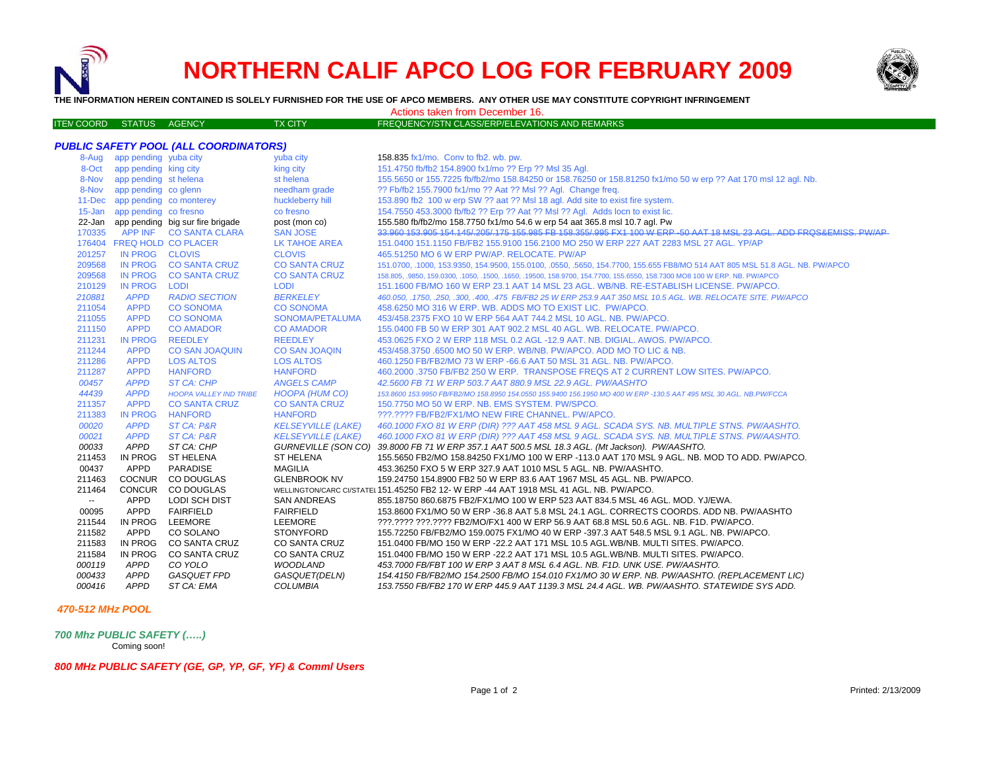## **NORTHERN CALIF APCO LOG FOR FEBRUARY 2009**



**THE INFORMATION HEREIN CONTAINED IS SOLELY FURNISHED FOR THE USE OF APCO MEMBERS. ANY OTHER USE MAY CONSTITUTE COPYRIGHT INFRINGEMENT**

Actions taken from December 16.

| ITEN COORD STATUS AGENCY |  | <b>TX CITY</b> | FREQUENCY/STN CLASS/ERP/ELEVATIONS AND REMARKS |
|--------------------------|--|----------------|------------------------------------------------|
|                          |  |                |                                                |

| <b>PUBLIC SAFETY POOL (ALL COORDINATORS)</b> |                                |                                         |                           |                                                                                                                             |  |  |
|----------------------------------------------|--------------------------------|-----------------------------------------|---------------------------|-----------------------------------------------------------------------------------------------------------------------------|--|--|
|                                              | 8-Aug app pending yuba city    |                                         | yuba city                 | 158.835 fx1/mo. Conv to fb2. wb. pw.                                                                                        |  |  |
|                                              | 8-Oct app pending king city    |                                         | king city                 | 151.4750 fb/fb2 154.8900 fx1/mo ?? Erp ?? Msl 35 Agl.                                                                       |  |  |
|                                              | 8-Nov app pending st helena    |                                         | st helena                 | 155.5650 or 155.7225 fb/fb2/mo 158.84250 or 158.76250 or 158.81250 fx1/mo 50 w erp ?? Aat 170 msl 12 agl. Nb.               |  |  |
|                                              | 8-Nov app pending co glenn     |                                         | needham grade             | ?? Fb/fb2 155.7900 fx1/mo ?? Aat ?? Msl ?? Agl. Change freq.                                                                |  |  |
|                                              | 11-Dec app pending co monterey |                                         | huckleberry hill          | 153.890 fb2 100 w erp SW ?? aat ?? MsI 18 agl. Add site to exist fire system.                                               |  |  |
|                                              | 15-Jan app pending co fresno   |                                         | co fresno                 | 154.7550 453.3000 fb/fb2 ?? Erp ?? Aat ?? Msl ?? Agl. Adds locn to exist lic.                                               |  |  |
|                                              |                                | 22-Jan app pending big sur fire brigade | post (mon co)             | 155.580 fb/fb2/mo 158.7750 fx1/mo 54.6 w erp 54 aat 365.8 msl 10.7 agl. Pw                                                  |  |  |
| 170335                                       |                                | APP INF CO SANTA CLARA                  | <b>SAN JOSE</b>           | 33,960 153,905 154,145/205/175 155,985 FB 158,355/995 FX1 100 W ERP-50 AAT 18 MSL 23 AGL, ADD FROS&EMISS, PW/AP             |  |  |
|                                              | 176404 FREQ HOLD CO PLACER     |                                         | <b>LK TAHOE AREA</b>      | 151.0400 151.1150 FB/FB2 155.9100 156.2100 MO 250 W ERP 227 AAT 2283 MSL 27 AGL. YP/AP                                      |  |  |
| 201257                                       | IN PROG CLOVIS                 |                                         | <b>CLOVIS</b>             | 465.51250 MO 6 W ERP PW/AP. RELOCATE. PW/AP                                                                                 |  |  |
| 209568                                       |                                | IN PROG CO SANTA CRUZ                   | <b>CO SANTA CRUZ</b>      | 151.0700, .1000, 153.9350, 154.9500, 155.0100, .0550, .5650, 154.7700, 155.655 FB8/MO 514 AAT 805 MSL 51.8 AGL. NB. PW/APCO |  |  |
| 209568                                       | <b>IN PROG</b>                 | <b>CO SANTA CRUZ</b>                    | <b>CO SANTA CRUZ</b>      | 158.805, 9850, 159.0300, 1050, 1500, 1650, 19500, 158.9700, 154.7700, 155.6550, 158.7300 MO8 100 W ERP. NB. PW/APCO         |  |  |
| 210129                                       | <b>IN PROG</b>                 | LODI                                    | <b>LODI</b>               | 151.1600 FB/MO 160 W ERP 23.1 AAT 14 MSL 23 AGL. WB/NB. RE-ESTABLISH LICENSE. PW/APCO.                                      |  |  |
| 210881                                       | <b>APPD</b>                    | <b>RADIO SECTION</b>                    | <b>BERKELEY</b>           | 460.050, .1750, .250, .300, .400, .475 FB/FB2 25 W ERP 253.9 AAT 350 MSL 10.5 AGL. WB. RELOCATE SITE. PW/APCO               |  |  |
| 211054                                       | <b>APPD</b>                    | <b>CO SONOMA</b>                        | <b>CO SONOMA</b>          | 458.6250 MO 316 W ERP. WB. ADDS MO TO EXIST LIC. PW/APCO.                                                                   |  |  |
| 211055                                       | <b>APPD</b>                    | <b>CO SONOMA</b>                        | SONOMA/PETALUMA           | 453/458.2375 FXO 10 W ERP 564 AAT 744.2 MSL 10 AGL, NB, PW/APCO,                                                            |  |  |
| 211150                                       | <b>APPD</b>                    | <b>CO AMADOR</b>                        | <b>CO AMADOR</b>          | 155.0400 FB 50 W ERP 301 AAT 902.2 MSL 40 AGL. WB. RELOCATE. PW/APCO.                                                       |  |  |
| 211231                                       | <b>IN PROG</b>                 | <b>REEDLEY</b>                          | <b>REEDLEY</b>            | 453.0625 FXO 2 W ERP 118 MSL 0.2 AGL -12.9 AAT. NB. DIGIAL. AWOS. PW/APCO.                                                  |  |  |
| 211244                                       | <b>APPD</b>                    | <b>CO SAN JOAQUIN</b>                   | <b>CO SAN JOAQIN</b>      | 453/458.3750 .6500 MO 50 W ERP. WB/NB. PW/APCO. ADD MO TO LIC & NB.                                                         |  |  |
| 211286                                       | <b>APPD</b>                    | <b>LOS ALTOS</b>                        | <b>LOS ALTOS</b>          | 460.1250 FB/FB2/MO 73 W ERP -66.6 AAT 50 MSL 31 AGL, NB, PW/APCO,                                                           |  |  |
| 211287                                       | <b>APPD</b>                    | <b>HANFORD</b>                          | <b>HANFORD</b>            | 460.2000 .3750 FB/FB2 250 W ERP. TRANSPOSE FREQS AT 2 CURRENT LOW SITES. PW/APCO.                                           |  |  |
| 00457                                        | <b>APPD</b>                    | <b>ST CA: CHP</b>                       | <b>ANGELS CAMP</b>        | 42.5600 FB 71 W ERP 503.7 AAT 880.9 MSL 22.9 AGL. PW/AASHTO                                                                 |  |  |
| 44439                                        | <b>APPD</b>                    | <b>HOOPA VALLEY IND TRIBE</b>           | HOOPA (HUM CO)            | 153.8600 153.9950 FB/FB2/MO 158.8950 154.0550 155.9400 156.1950 MO 400 W ERP -130.5 AAT 495 MSL 30 AGL. NB.PW/FCCA          |  |  |
| 211357                                       | <b>APPD</b>                    | <b>CO SANTA CRUZ</b>                    | <b>CO SANTA CRUZ</b>      | 150.7750 MO 50 W ERP. NB. EMS SYSTEM. PW/SPCO.                                                                              |  |  |
| 211383                                       | <b>IN PROG</b>                 | <b>HANFORD</b>                          | <b>HANFORD</b>            | ???.???? FB/FB2/FX1/MO NEW FIRE CHANNEL. PW/APCO.                                                                           |  |  |
| <i>00020</i>                                 | <b>APPD</b>                    | ST CA: P&R                              | <b>KELSEYVILLE (LAKE)</b> | 460.1000 FXO 81 W ERP (DIR) ??? AAT 458 MSL 9 AGL. SCADA SYS. NB. MULTIPLE STNS. PW/AASHTO.                                 |  |  |
| 00021                                        | <b>APPD</b>                    | ST CA: P&R                              | <b>KELSEYVILLE (LAKE)</b> | 460.1000 FXO 81 W ERP (DIR) ??? AAT 458 MSL 9 AGL. SCADA SYS. NB. MULTIPLE STNS. PW/AASHTO.                                 |  |  |
| 00033                                        | APPD                           | ST CA: CHP                              |                           | GURNEVILLE (SON CO) 39.8000 FB 71 W ERP 357.1 AAT 500.5 MSL 18.3 AGL. (Mt Jackson). PW/AASHTO.                              |  |  |
| 211453                                       | IN PROG                        | <b>ST HELENA</b>                        | <b>ST HELENA</b>          | 155.5650 FB2/MO 158.84250 FX1/MO 100 W ERP -113.0 AAT 170 MSL 9 AGL. NB. MOD TO ADD. PW/APCO.                               |  |  |
| 00437                                        | APPD                           | <b>PARADISE</b>                         | <b>MAGILIA</b>            | 453.36250 FXO 5 W ERP 327.9 AAT 1010 MSL 5 AGL. NB. PW/AASHTO.                                                              |  |  |
| 211463                                       | <b>COCNUR</b>                  | CO DOUGLAS                              | <b>GLENBROOK NV</b>       | 159.24750 154.8900 FB2 50 W ERP 83.6 AAT 1967 MSL 45 AGL. NB. PW/APCO.                                                      |  |  |
| 211464                                       | <b>CONCUR</b>                  | CO DOUGLAS                              |                           | WELLINGTON/CARC CI/STATEL 151.45250 FB2 12- W ERP -44 AAT 1918 MSL 41 AGL. NB. PW/APCO.                                     |  |  |
| $\sim$                                       | APPD                           | <b>LODI SCH DIST</b>                    | <b>SAN ANDREAS</b>        | 855.18750 860.6875 FB2/FX1/MO 100 W ERP 523 AAT 834.5 MSL 46 AGL. MOD. YJ/EWA.                                              |  |  |
| 00095                                        | APPD                           | <b>FAIRFIELD</b>                        | <b>FAIRFIELD</b>          | 153.8600 FX1/MO 50 W ERP -36.8 AAT 5.8 MSL 24.1 AGL. CORRECTS COORDS. ADD NB. PW/AASHTO                                     |  |  |
| 211544                                       | IN PROG                        | LEEMORE                                 | <b>LEEMORE</b>            | ???.???? ???.???? FB2/MO/FX1 400 W ERP 56.9 AAT 68.8 MSL 50.6 AGL. NB. F1D. PW/APCO.                                        |  |  |
| 211582                                       | APPD                           | CO SOLANO                               | <b>STONYFORD</b>          | 155.72250 FB/FB2/MO 159.0075 FX1/MO 40 W ERP -397.3 AAT 548.5 MSL 9.1 AGL. NB. PW/APCO.                                     |  |  |
| 211583                                       | IN PROG                        | CO SANTA CRUZ                           | <b>CO SANTA CRUZ</b>      | 151.0400 FB/MO 150 W ERP -22.2 AAT 171 MSL 10.5 AGL.WB/NB. MULTI SITES. PW/APCO.                                            |  |  |
| 211584                                       | IN PROG                        | <b>CO SANTA CRUZ</b>                    | <b>CO SANTA CRUZ</b>      | 151.0400 FB/MO 150 W ERP -22.2 AAT 171 MSL 10.5 AGL.WB/NB. MULTI SITES. PW/APCO.                                            |  |  |
| 000119                                       | APPD                           | CO YOLO                                 | <b>WOODLAND</b>           | 453.7000 FB/FBT 100 W ERP 3 AAT 8 MSL 6.4 AGL. NB. F1D. UNK USE. PW/AASHTO.                                                 |  |  |
| 000433                                       | <b>APPD</b>                    | <b>GASQUET FPD</b>                      | GASQUET(DELN)             | 154.4150 FB/FB2/MO 154.2500 FB/MO 154.010 FX1/MO 30 W ERP. NB. PW/AASHTO. (REPLACEMENT LIC)                                 |  |  |
| 000416                                       | <b>APPD</b>                    | ST CA: EMA                              | <b>COLUMBIA</b>           | 153.7550 FB/FB2 170 W ERP 445.9 AAT 1139.3 MSL 24.4 AGL. WB. PW/AASHTO. STATEWIDE SYS ADD.                                  |  |  |

## *470-512 MHz POOL*

*700 Mhz PUBLIC SAFETY (…..)* Coming soon!

*800 MHz PUBLIC SAFETY (GE, GP, YP, GF, YF) & Comml Users*